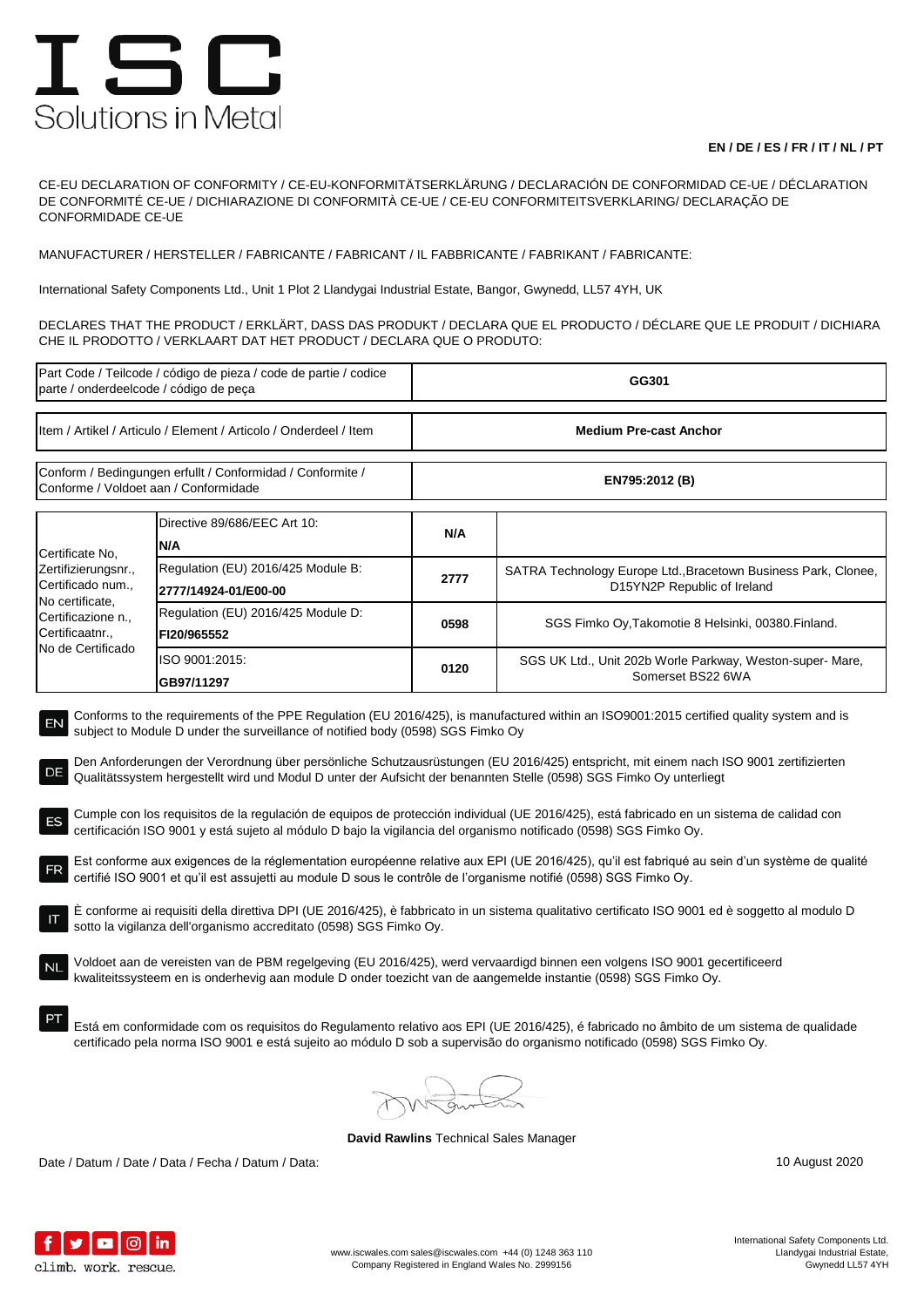## ISC Solutions in Metal

## **EN / DE / ES / FR / IT / NL / PT**

CE-EU DECLARATION OF CONFORMITY / CE-EU-KONFORMITÄTSERKLÄRUNG / DECLARACIÓN DE CONFORMIDAD CE-UE / DÉCLARATION DE CONFORMITÉ CE-UE / DICHIARAZIONE DI CONFORMITÀ CE-UE / CE-EU CONFORMITEITSVERKLARING/ DECLARAÇÃO DE CONFORMIDADE CE-UE

MANUFACTURER / HERSTELLER / FABRICANTE / FABRICANT / IL FABBRICANTE / FABRIKANT / FABRICANTE:

International Safety Components Ltd., Unit 1 Plot 2 Llandygai Industrial Estate, Bangor, Gwynedd, LL57 4YH, UK

DECLARES THAT THE PRODUCT / ERKLÄRT, DASS DAS PRODUKT / DECLARA QUE EL PRODUCTO / DÉCLARE QUE LE PRODUIT / DICHIARA CHE IL PRODOTTO / VERKLAART DAT HET PRODUCT / DECLARA QUE O PRODUTO:

| Part Code / Teilcode / código de pieza / code de partie / codice<br>parte / onderdeelcode / código de peça                                                                                                                                                                                                                                                                                                                                                                                                                                                                                                                                                                                                                                                                                                                                                                                                                                                                                                                                                                                                                                                                                                                                                                                                                                                                                                                                                                                                                                                                                                                                                                                                                                                                                             |                                                            | GG301                         |                                                                                               |  |  |
|--------------------------------------------------------------------------------------------------------------------------------------------------------------------------------------------------------------------------------------------------------------------------------------------------------------------------------------------------------------------------------------------------------------------------------------------------------------------------------------------------------------------------------------------------------------------------------------------------------------------------------------------------------------------------------------------------------------------------------------------------------------------------------------------------------------------------------------------------------------------------------------------------------------------------------------------------------------------------------------------------------------------------------------------------------------------------------------------------------------------------------------------------------------------------------------------------------------------------------------------------------------------------------------------------------------------------------------------------------------------------------------------------------------------------------------------------------------------------------------------------------------------------------------------------------------------------------------------------------------------------------------------------------------------------------------------------------------------------------------------------------------------------------------------------------|------------------------------------------------------------|-------------------------------|-----------------------------------------------------------------------------------------------|--|--|
| Item / Artikel / Articulo / Element / Articolo / Onderdeel / Item                                                                                                                                                                                                                                                                                                                                                                                                                                                                                                                                                                                                                                                                                                                                                                                                                                                                                                                                                                                                                                                                                                                                                                                                                                                                                                                                                                                                                                                                                                                                                                                                                                                                                                                                      |                                                            | <b>Medium Pre-cast Anchor</b> |                                                                                               |  |  |
| Conform / Bedingungen erfullt / Conformidad / Conformite /<br>Conforme / Voldoet aan / Conformidade                                                                                                                                                                                                                                                                                                                                                                                                                                                                                                                                                                                                                                                                                                                                                                                                                                                                                                                                                                                                                                                                                                                                                                                                                                                                                                                                                                                                                                                                                                                                                                                                                                                                                                    |                                                            | EN795:2012 (B)                |                                                                                               |  |  |
| Certificate No.<br>Zertifizierungsnr.,<br>Certificado num.,<br>No certificate,<br>Certificazione n.,<br>Certificaatnr.,<br>No de Certificado                                                                                                                                                                                                                                                                                                                                                                                                                                                                                                                                                                                                                                                                                                                                                                                                                                                                                                                                                                                                                                                                                                                                                                                                                                                                                                                                                                                                                                                                                                                                                                                                                                                           | Directive 89/686/EEC Art 10:<br>N/A                        | N/A                           |                                                                                               |  |  |
|                                                                                                                                                                                                                                                                                                                                                                                                                                                                                                                                                                                                                                                                                                                                                                                                                                                                                                                                                                                                                                                                                                                                                                                                                                                                                                                                                                                                                                                                                                                                                                                                                                                                                                                                                                                                        | Regulation (EU) 2016/425 Module B:<br>2777/14924-01/E00-00 | 2777                          | SATRA Technology Europe Ltd., Bracetown Business Park, Clonee,<br>D15YN2P Republic of Ireland |  |  |
|                                                                                                                                                                                                                                                                                                                                                                                                                                                                                                                                                                                                                                                                                                                                                                                                                                                                                                                                                                                                                                                                                                                                                                                                                                                                                                                                                                                                                                                                                                                                                                                                                                                                                                                                                                                                        | Regulation (EU) 2016/425 Module D:<br>FI20/965552          | 0598                          | SGS Fimko Oy, Takomotie 8 Helsinki, 00380. Finland.                                           |  |  |
|                                                                                                                                                                                                                                                                                                                                                                                                                                                                                                                                                                                                                                                                                                                                                                                                                                                                                                                                                                                                                                                                                                                                                                                                                                                                                                                                                                                                                                                                                                                                                                                                                                                                                                                                                                                                        | ISO 9001:2015:<br>GB97/11297                               | 0120                          | SGS UK Ltd., Unit 202b Worle Parkway, Weston-super- Mare,<br>Somerset BS22 6WA                |  |  |
| Conforms to the requirements of the PPE Regulation (EU 2016/425), is manufactured within an ISO9001:2015 certified quality system and is<br>EN<br>subject to Module D under the surveillance of notified body (0598) SGS Fimko Oy<br>Den Anforderungen der Verordnung über persönliche Schutzausrüstungen (EU 2016/425) entspricht, mit einem nach ISO 9001 zertifizierten<br>DE<br>Qualitätssystem hergestellt wird und Modul D unter der Aufsicht der benannten Stelle (0598) SGS Fimko Oy unterliegt<br>Cumple con los requisitos de la regulación de equipos de protección individual (UE 2016/425), está fabricado en un sistema de calidad con<br>certificación ISO 9001 y está sujeto al módulo D bajo la vigilancia del organismo notificado (0598) SGS Fimko Oy.<br>Est conforme aux exigences de la réglementation européenne relative aux EPI (UE 2016/425), qu'il est fabriqué au sein d'un système de qualité<br>FR<br>certifié ISO 9001 et qu'il est assujetti au module D sous le contrôle de l'organisme notifié (0598) SGS Fimko Oy.<br>E conforme ai requisiti della direttiva DPI (UE 2016/425), è fabbricato in un sistema qualitativo certificato ISO 9001 ed è soggetto al modulo D<br>sotto la vigilanza dell'organismo accreditato (0598) SGS Fimko Oy.<br>Voldoet aan de vereisten van de PBM regelgeving (EU 2016/425), werd vervaardigd binnen een volgens ISO 9001 gecertificeerd<br>kwaliteitssysteem en is onderhevig aan module D onder toezicht van de aangemelde instantie (0598) SGS Fimko Oy.<br>Está em conformidade com os requisitos do Regulamento relativo aos EPI (UE 2016/425), é fabricado no âmbito de um sistema de qualidade<br>certificado pela norma ISO 9001 e está sujeito ao módulo D sob a supervisão do organismo notificado (0598) SGS Fimko Oy. |                                                            |                               |                                                                                               |  |  |
|                                                                                                                                                                                                                                                                                                                                                                                                                                                                                                                                                                                                                                                                                                                                                                                                                                                                                                                                                                                                                                                                                                                                                                                                                                                                                                                                                                                                                                                                                                                                                                                                                                                                                                                                                                                                        |                                                            |                               |                                                                                               |  |  |

**David Rawlins** Technical Sales Manager

Date / Datum / Date / Data / Fecha / Datum / Data: 10 August 2020